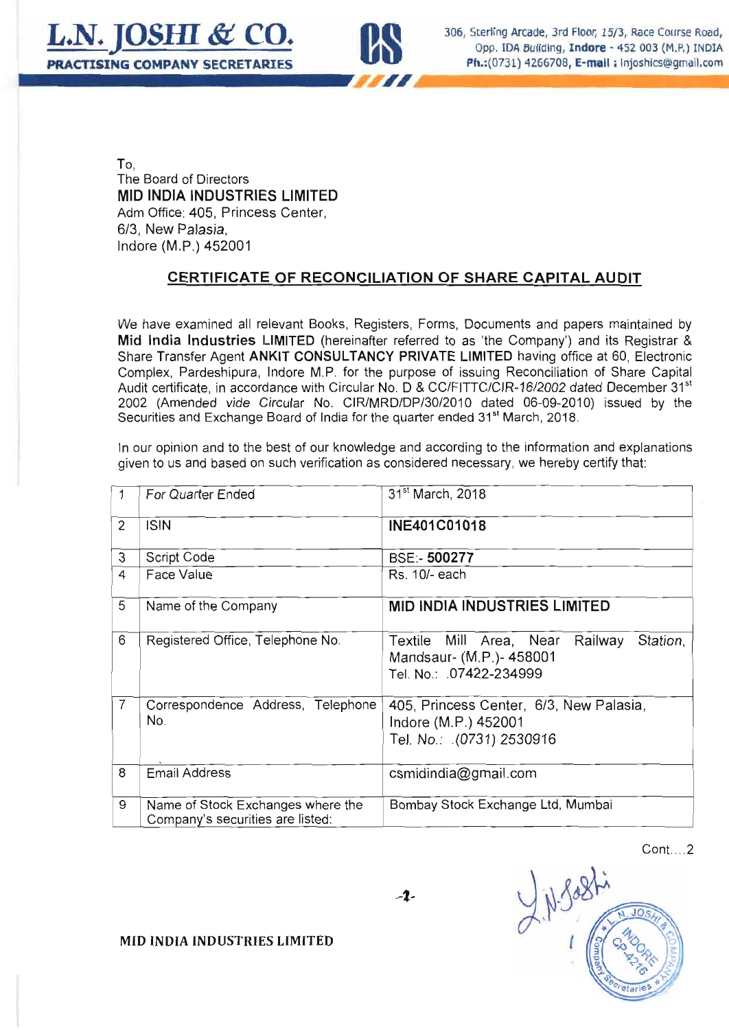



To, The Board of Directors MID !NDIA INDUSTRIES LIMITED Adm Office: 405, Princess Center, 6/3, New Palasia, lndore (M.P.) 452001

## CERTIFICATE OF RECONCILIATION OF SHARE CAPITAL AUDIT

We have examined all relevant Books, Registers, Forms, Documents and papers maintained by Mid lndia lndustries LIMITED (hereinafter referred to as 'the Company') and its Registrar & Share Transfer Agent ANKIT CONSULTANCY PRIVATE LIMITED having office at 60, Electronic Complex, Pardeshipura, lndore M.P. for the purpose of issuing Reconciliation of Share Capital Audit certificate, in accordance with Circular No. D & CC/FITTC/CIR-16/2002 dated December 31<sup>st</sup> 2002 (Amended vide Circular No. CIR/MRD/DP/30/2010 dated 06-09-2010) issued by the Securities and Exchange Board of India for the quarter ended 31<sup>st</sup> March, 2018.

ln our opinion and to the best of our knowledge and according to the information and explanations given to us and based on such verification as considered necessary, we hereby certify that:

|                | For Quarter Ended                                                     | 31 <sup>st</sup> March, 2018                                                                             |  |
|----------------|-----------------------------------------------------------------------|----------------------------------------------------------------------------------------------------------|--|
| $\overline{2}$ | <b>ISIN</b>                                                           | INE401C01018                                                                                             |  |
| 3              | Script Code                                                           | <b>BSE:- 500277</b>                                                                                      |  |
| 4              | Face Value                                                            | Rs. 10/- each                                                                                            |  |
| 5              | Name of the Company                                                   | <b>MID INDIA INDUSTRIES LIMITED</b>                                                                      |  |
| 6              | Registered Office, Telephone No.                                      | Railway<br>Station.<br>Textile Mill<br>Area, Near<br>Mandsaur- (M.P.)- 458001<br>Tel. No.: .07422-234999 |  |
| $\overline{7}$ | Correspondence Address, Telephone<br>No.                              | 405, Princess Center, 6/3, New Palasia,<br>Indore (M.P.) 452001<br>Tel. No.: (0731) 2530916              |  |
| 8              | <b>Email Address</b>                                                  | csmidindia@gmail.com                                                                                     |  |
| 9              | Name of Stock Exchanges where the<br>Company's securities are listed: | Bombay Stock Exchange Ltd, Mumbai                                                                        |  |

 $-2-$ 

Cont... .2

 $H.S.8811$ CANDORE

MID INDIA INDUSTRIES LIMITED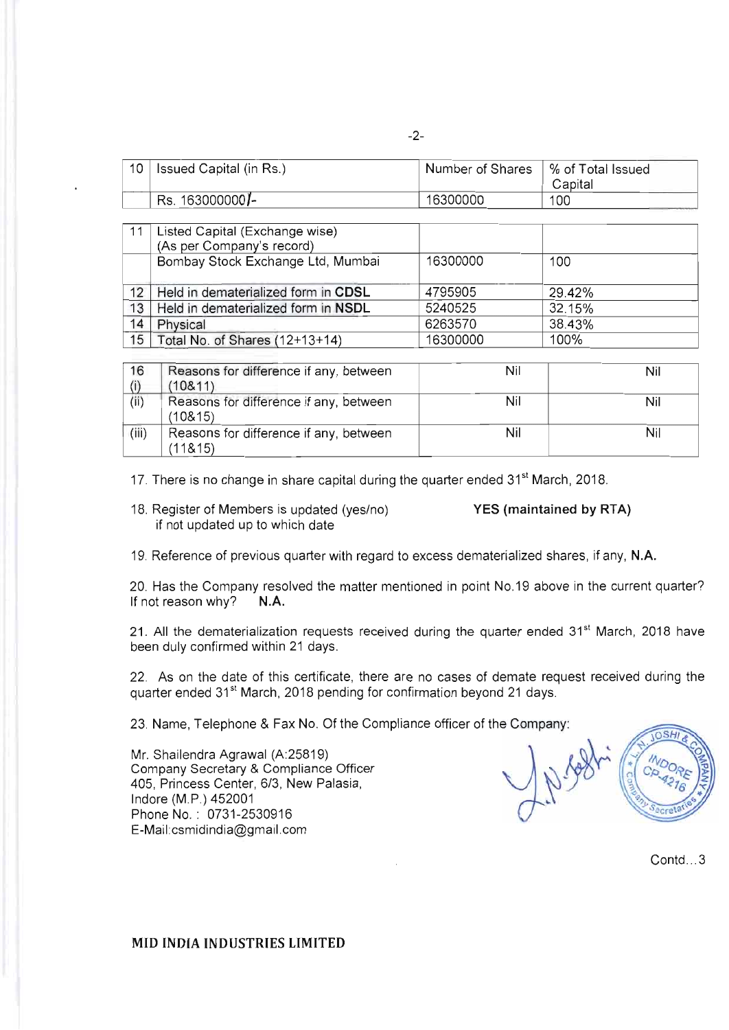| ×<br>٧<br>. .<br>__ | __ |
|---------------------|----|
|---------------------|----|

| . 10 | Issued Capital (in Rs.) | Number of Shares   % of Total Issued | Capital |
|------|-------------------------|--------------------------------------|---------|
|      | Rs. 163000000/-         | 16300000                             | 100     |

| 11 | Listed Capital (Exchange wise)           |          |        |
|----|------------------------------------------|----------|--------|
|    | (As per Company's record)                |          |        |
|    | Bombay Stock Exchange Ltd, Mumbai        | 16300000 | 100    |
|    |                                          |          |        |
|    | 12   Held in dematerialized form in CDSL | 4795905  | 29.42% |
| 13 | Held in dematerialized form in NSDL      | 5240525  | 32.15% |
| 14 | Physical                                 | 6263570  | 38.43% |
| 15 | Total No. of Shares (12+13+14)           | 16300000 | 100%   |

| 16    | Reasons for difference if any, between<br>(10811) | Nil | Nil |
|-------|---------------------------------------------------|-----|-----|
| (ii)  | Reasons for difference if any, between<br>(10815) | Nil | Nil |
| (iii) | Reasons for difference if any, between<br>(11&15) | Nil | Nil |

17. There is no change in share capital during the quarter ended 31't March, 2018.

18. Register of Members is updated (yes/no) if not updated up to which date

YES (maintained by RTA)

19. Reference of previous quarter with regard to excess dematerialized shares, if any, N.A.

20. Has the Company resolved the matter mentioned in point No.19 above in the current quarter? If not reason why?  $N.A$ .

21. All the dematerialization requests received during the quarter ended 31<sup>st</sup> March, 2018 have been duly confirmed within 21 days.

22. As on the date of this certificate, there are no cases of demate request received during the quarter ended 31<sup>st</sup> March, 2018 pending for confirmation beyond 21 days.

23. Name, Telephone & Fax No. Of the Compliance officer of the Company:

Mr. Shailendra Agrawal (A:25819) Company Secretary & Compliance Officer 405, Princess Center, 6/3, New Palasia, lndore(MP)452001 Phone No.: 0731-2530916<br>E-Mail:csmidindia@gmail.com Company Secretary & Compliance Officer<br>405, Princess Center, 6/3, New Palasia,<br>Indore (M.P.) 452001<br>Phone No.: 0731-2530916<br>E-Mail:csmidindia@gmail.com

Contd...3

## MID INDIA INDUSTRIES LIMITED